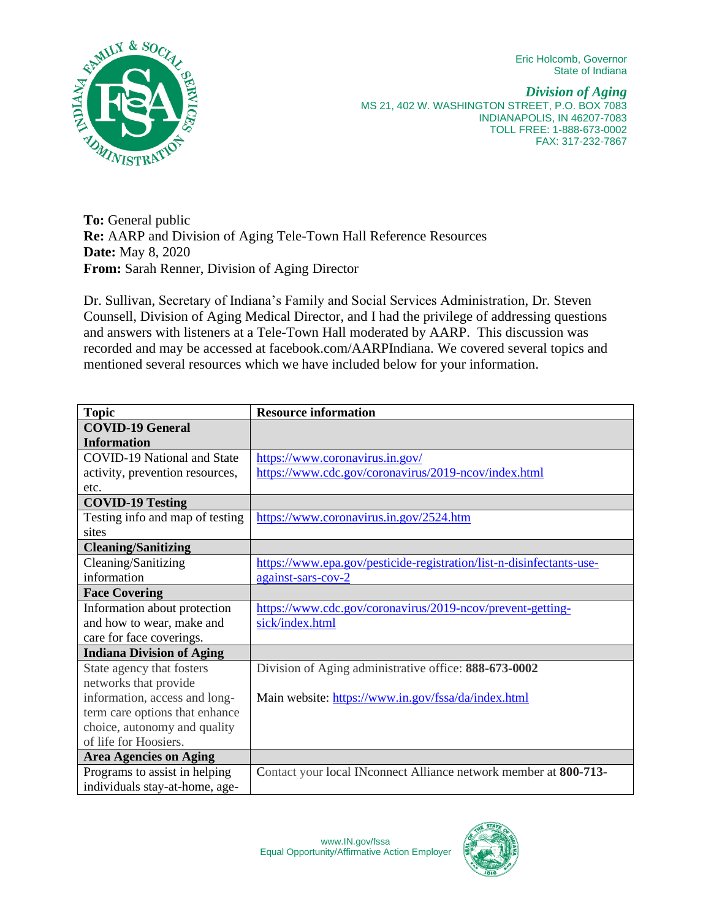Eric Holcomb, Governor State of Indiana



*Division of Aging* MS 21, 402 W. WASHINGTON STREET, P.O. BOX 7083 INDIANAPOLIS, IN 46207-7083 TOLL FREE: 1-888-673-0002 FAX: 317-232-7867

**To:** General public **Re:** AARP and Division of Aging Tele-Town Hall Reference Resources **Date:** May 8, 2020 **From:** Sarah Renner, Division of Aging Director

Dr. Sullivan, Secretary of Indiana's Family and Social Services Administration, Dr. Steven Counsell, Division of Aging Medical Director, and I had the privilege of addressing questions and answers with listeners at a Tele-Town Hall moderated by AARP. This discussion was recorded and may be accessed at facebook.com/AARPIndiana. We covered several topics and mentioned several resources which we have included below for your information.

| <b>Topic</b>                       | <b>Resource information</b>                                          |
|------------------------------------|----------------------------------------------------------------------|
| <b>COVID-19 General</b>            |                                                                      |
| <b>Information</b>                 |                                                                      |
| <b>COVID-19 National and State</b> | https://www.coronavirus.in.gov/                                      |
| activity, prevention resources,    | https://www.cdc.gov/coronavirus/2019-ncov/index.html                 |
| etc.                               |                                                                      |
| <b>COVID-19 Testing</b>            |                                                                      |
| Testing info and map of testing    | https://www.coronavirus.in.gov/2524.htm                              |
| sites                              |                                                                      |
| <b>Cleaning/Sanitizing</b>         |                                                                      |
| Cleaning/Sanitizing                | https://www.epa.gov/pesticide-registration/list-n-disinfectants-use- |
| information                        | against-sars-cov-2                                                   |
| <b>Face Covering</b>               |                                                                      |
| Information about protection       | https://www.cdc.gov/coronavirus/2019-ncov/prevent-getting-           |
| and how to wear, make and          | sick/index.html                                                      |
| care for face coverings.           |                                                                      |
| <b>Indiana Division of Aging</b>   |                                                                      |
| State agency that fosters          | Division of Aging administrative office: 888-673-0002                |
| networks that provide              |                                                                      |
| information, access and long-      | Main website: https://www.in.gov/fssa/da/index.html                  |
| term care options that enhance     |                                                                      |
| choice, autonomy and quality       |                                                                      |
| of life for Hoosiers.              |                                                                      |
| <b>Area Agencies on Aging</b>      |                                                                      |
| Programs to assist in helping      | Contact your local INconnect Alliance network member at 800-713-     |
| individuals stay-at-home, age-     |                                                                      |

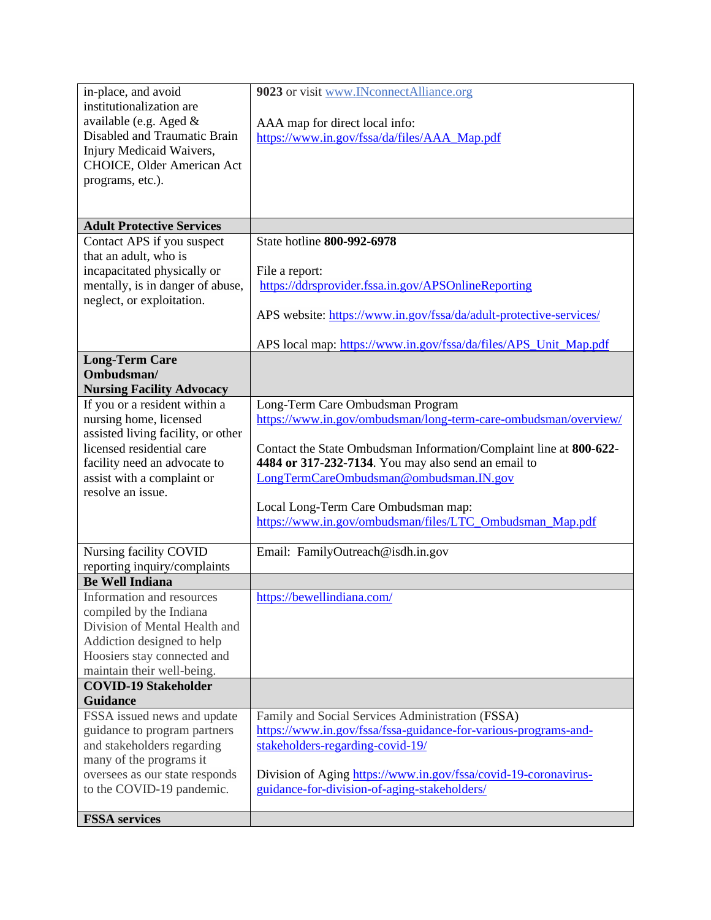| in-place, and avoid                                         | 9023 or visit www.INconnectAlliance.org                                                         |
|-------------------------------------------------------------|-------------------------------------------------------------------------------------------------|
| institutionalization are                                    |                                                                                                 |
| available (e.g. Aged &                                      | AAA map for direct local info:                                                                  |
| Disabled and Traumatic Brain                                | https://www.in.gov/fssa/da/files/AAA_Map.pdf                                                    |
| Injury Medicaid Waivers,                                    |                                                                                                 |
| CHOICE, Older American Act                                  |                                                                                                 |
| programs, etc.).                                            |                                                                                                 |
|                                                             |                                                                                                 |
| <b>Adult Protective Services</b>                            |                                                                                                 |
| Contact APS if you suspect                                  | State hotline 800-992-6978                                                                      |
| that an adult, who is                                       |                                                                                                 |
| incapacitated physically or                                 | File a report:                                                                                  |
| mentally, is in danger of abuse,                            | https://ddrsprovider.fssa.in.gov/APSOnlineReporting                                             |
| neglect, or exploitation.                                   |                                                                                                 |
|                                                             | APS website: https://www.in.gov/fssa/da/adult-protective-services/                              |
|                                                             | APS local map: https://www.in.gov/fssa/da/files/APS_Unit_Map.pdf                                |
| <b>Long-Term Care</b>                                       |                                                                                                 |
| Ombudsman/                                                  |                                                                                                 |
| <b>Nursing Facility Advocacy</b>                            |                                                                                                 |
| If you or a resident within a                               | Long-Term Care Ombudsman Program                                                                |
| nursing home, licensed                                      | https://www.in.gov/ombudsman/long-term-care-ombudsman/overview/                                 |
| assisted living facility, or other                          |                                                                                                 |
| licensed residential care                                   | Contact the State Ombudsman Information/Complaint line at 800-622-                              |
| facility need an advocate to                                | 4484 or 317-232-7134. You may also send an email to                                             |
| assist with a complaint or                                  | LongTermCareOmbudsman@ombudsman.IN.gov                                                          |
| resolve an issue.                                           |                                                                                                 |
|                                                             | Local Long-Term Care Ombudsman map:<br>https://www.in.gov/ombudsman/files/LTC_Ombudsman_Map.pdf |
|                                                             |                                                                                                 |
| Nursing facility COVID                                      | Email: FamilyOutreach@isdh.in.gov                                                               |
| reporting inquiry/complaints                                |                                                                                                 |
| <b>Be Well Indiana</b>                                      |                                                                                                 |
| Information and resources                                   | https://bewellindiana.com/                                                                      |
| compiled by the Indiana                                     |                                                                                                 |
| Division of Mental Health and                               |                                                                                                 |
| Addiction designed to help                                  |                                                                                                 |
| Hoosiers stay connected and                                 |                                                                                                 |
| maintain their well-being.                                  |                                                                                                 |
| <b>COVID-19 Stakeholder</b><br><b>Guidance</b>              |                                                                                                 |
|                                                             | Family and Social Services Administration (FSSA)                                                |
| FSSA issued news and update<br>guidance to program partners | https://www.in.gov/fssa/fssa-guidance-for-various-programs-and-                                 |
| and stakeholders regarding                                  | stakeholders-regarding-covid-19/                                                                |
| many of the programs it                                     |                                                                                                 |
| oversees as our state responds                              | Division of Aging https://www.in.gov/fssa/covid-19-coronavirus-                                 |
| to the COVID-19 pandemic.                                   | guidance-for-division-of-aging-stakeholders/                                                    |
|                                                             |                                                                                                 |
| <b>FSSA</b> services                                        |                                                                                                 |